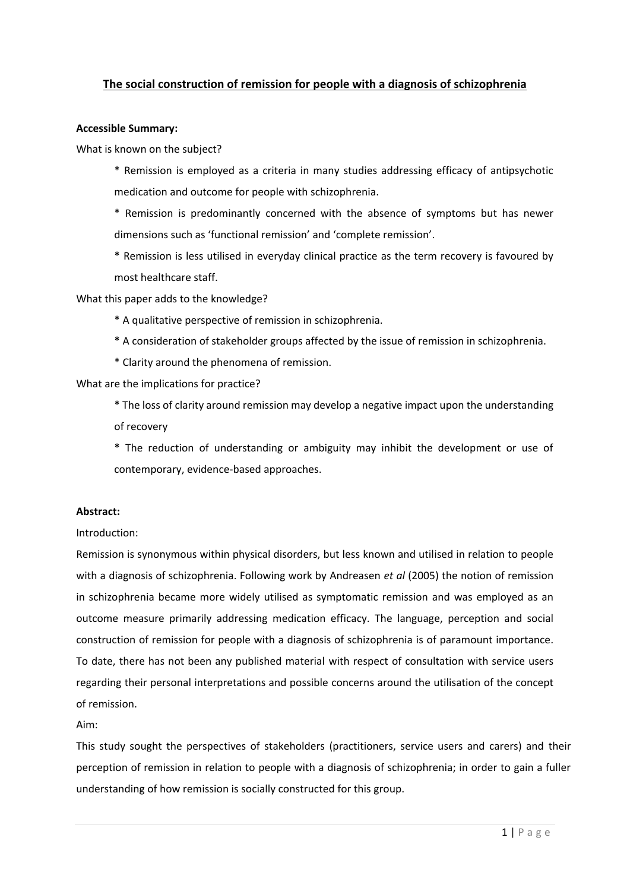# **The social construction of remission for people with a diagnosis of schizophrenia**

### **Accessible Summary:**

What is known on the subject?

\* Remission is employed as a criteria in many studies addressing efficacy of antipsychotic medication and outcome for people with schizophrenia.

\* Remission is predominantly concerned with the absence of symptoms but has newer dimensions such as 'functional remission' and 'complete remission'.

\* Remission is less utilised in everyday clinical practice as the term recovery is favoured by most healthcare staff.

What this paper adds to the knowledge?

\* A qualitative perspective of remission in schizophrenia.

- \* A consideration of stakeholder groups affected by the issue of remission in schizophrenia.
- \* Clarity around the phenomena of remission.

What are the implications for practice?

\* The loss of clarity around remission may develop a negative impact upon the understanding of recovery

\* The reduction of understanding or ambiguity may inhibit the development or use of contemporary, evidence-based approaches.

### **Abstract:**

#### Introduction:

Remission is synonymous within physical disorders, but less known and utilised in relation to people with a diagnosis of schizophrenia. Following work by Andreasen *et al* (2005) the notion of remission in schizophrenia became more widely utilised as symptomatic remission and was employed as an outcome measure primarily addressing medication efficacy. The language, perception and social construction of remission for people with a diagnosis of schizophrenia is of paramount importance. To date, there has not been any published material with respect of consultation with service users regarding their personal interpretations and possible concerns around the utilisation of the concept of remission.

Aim:

This study sought the perspectives of stakeholders (practitioners, service users and carers) and their perception of remission in relation to people with a diagnosis of schizophrenia; in order to gain a fuller understanding of how remission is socially constructed for this group.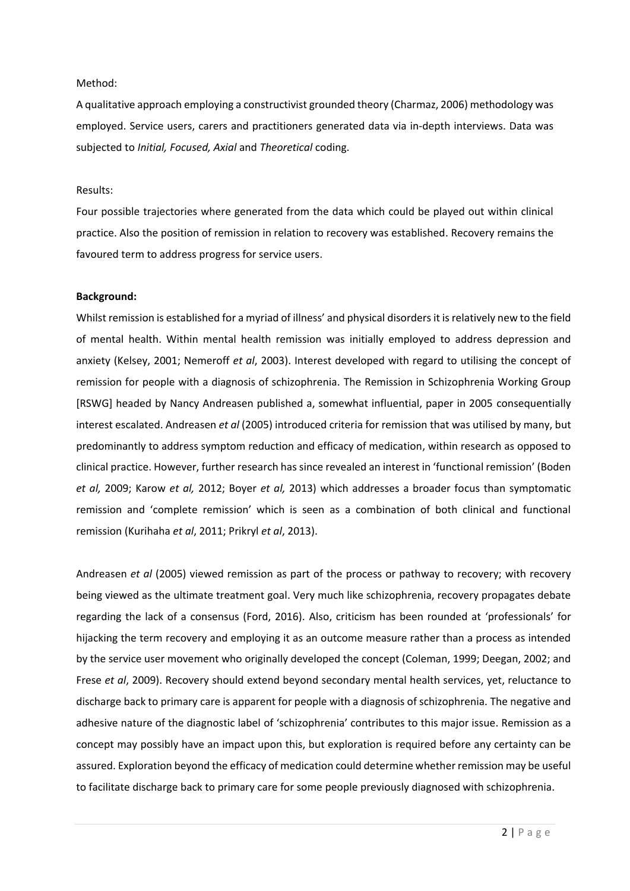#### Method:

A qualitative approach employing a constructivist grounded theory (Charmaz, 2006) methodology was employed. Service users, carers and practitioners generated data via in-depth interviews. Data was subjected to *Initial, Focused, Axial* and *Theoretical* coding.

#### Results:

Four possible trajectories where generated from the data which could be played out within clinical practice. Also the position of remission in relation to recovery was established. Recovery remains the favoured term to address progress for service users.

### **Background:**

Whilst remission is established for a myriad of illness' and physical disorders it is relatively new to the field of mental health. Within mental health remission was initially employed to address depression and anxiety (Kelsey, 2001; Nemeroff *et al*, 2003). Interest developed with regard to utilising the concept of remission for people with a diagnosis of schizophrenia. The Remission in Schizophrenia Working Group [RSWG] headed by Nancy Andreasen published a, somewhat influential, paper in 2005 consequentially interest escalated. Andreasen *et al* (2005) introduced criteria for remission that was utilised by many, but predominantly to address symptom reduction and efficacy of medication, within research as opposed to clinical practice. However, further research has since revealed an interest in 'functional remission' (Boden *et al,* 2009; Karow *et al,* 2012; Boyer *et al,* 2013) which addresses a broader focus than symptomatic remission and 'complete remission' which is seen as a combination of both clinical and functional remission (Kurihaha *et al*, 2011; Prikryl *et al*, 2013).

Andreasen *et al* (2005) viewed remission as part of the process or pathway to recovery; with recovery being viewed as the ultimate treatment goal. Very much like schizophrenia, recovery propagates debate regarding the lack of a consensus (Ford, 2016). Also, criticism has been rounded at 'professionals' for hijacking the term recovery and employing it as an outcome measure rather than a process as intended by the service user movement who originally developed the concept (Coleman, 1999; Deegan, 2002; and Frese *et al*, 2009). Recovery should extend beyond secondary mental health services, yet, reluctance to discharge back to primary care is apparent for people with a diagnosis of schizophrenia. The negative and adhesive nature of the diagnostic label of 'schizophrenia' contributes to this major issue. Remission as a concept may possibly have an impact upon this, but exploration is required before any certainty can be assured. Exploration beyond the efficacy of medication could determine whether remission may be useful to facilitate discharge back to primary care for some people previously diagnosed with schizophrenia.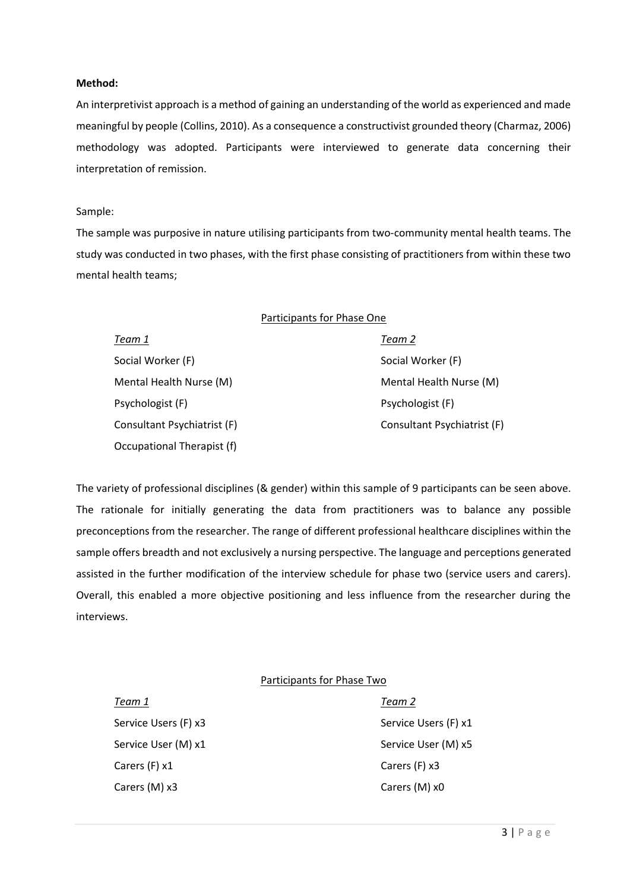#### **Method:**

An interpretivist approach is a method of gaining an understanding of the world as experienced and made meaningful by people (Collins, 2010). As a consequence a constructivist grounded theory (Charmaz, 2006) methodology was adopted. Participants were interviewed to generate data concerning their interpretation of remission.

#### Sample:

The sample was purposive in nature utilising participants from two-community mental health teams. The study was conducted in two phases, with the first phase consisting of practitioners from within these two mental health teams;

| Participants for Phase One  |                             |
|-----------------------------|-----------------------------|
| Team 1                      | Team 2                      |
| Social Worker (F)           | Social Worker (F)           |
| Mental Health Nurse (M)     | Mental Health Nurse (M)     |
| Psychologist (F)            | Psychologist (F)            |
| Consultant Psychiatrist (F) | Consultant Psychiatrist (F) |
| Occupational Therapist (f)  |                             |

The variety of professional disciplines (& gender) within this sample of 9 participants can be seen above. The rationale for initially generating the data from practitioners was to balance any possible preconceptions from the researcher. The range of different professional healthcare disciplines within the sample offers breadth and not exclusively a nursing perspective. The language and perceptions generated assisted in the further modification of the interview schedule for phase two (service users and carers). Overall, this enabled a more objective positioning and less influence from the researcher during the interviews.

### Participants for Phase Two

| Team 1               | Team 2   |
|----------------------|----------|
| Service Users (F) x3 | Service  |
| Service User (M) x1  | Service  |
| Carers (F) x1        | Carers ( |
| Carers (M) x3        | Carers ( |

Service Users (F) x1 Service User (M) x5 Carers (F) x3 Carers (M) x0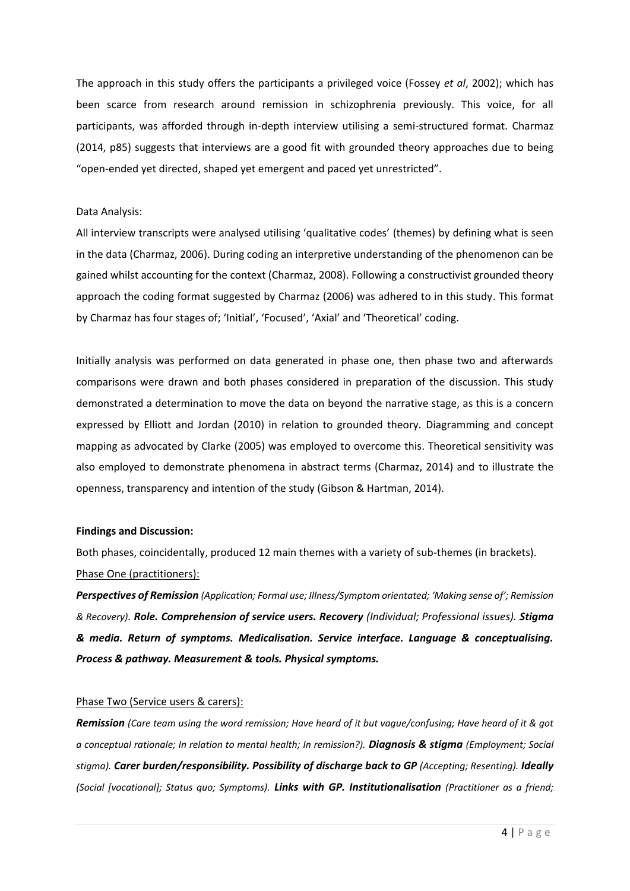The approach in this study offers the participants a privileged voice (Fossey *et al*, 2002); which has been scarce from research around remission in schizophrenia previously. This voice, for all participants, was afforded through in-depth interview utilising a semi-structured format. Charmaz (2014, p85) suggests that interviews are a good fit with grounded theory approaches due to being "open-ended yet directed, shaped yet emergent and paced yet unrestricted".

### Data Analysis:

All interview transcripts were analysed utilising 'qualitative codes' (themes) by defining what is seen in the data (Charmaz, 2006). During coding an interpretive understanding of the phenomenon can be gained whilst accounting for the context (Charmaz, 2008). Following a constructivist grounded theory approach the coding format suggested by Charmaz (2006) was adhered to in this study. This format by Charmaz has four stages of; 'Initial', 'Focused', 'Axial' and 'Theoretical' coding.

Initially analysis was performed on data generated in phase one, then phase two and afterwards comparisons were drawn and both phases considered in preparation of the discussion. This study demonstrated a determination to move the data on beyond the narrative stage, as this is a concern expressed by Elliott and Jordan (2010) in relation to grounded theory. Diagramming and concept mapping as advocated by Clarke (2005) was employed to overcome this. Theoretical sensitivity was also employed to demonstrate phenomena in abstract terms (Charmaz, 2014) and to illustrate the openness, transparency and intention of the study (Gibson & Hartman, 2014).

#### **Findings and Discussion:**

Both phases, coincidentally, produced 12 main themes with a variety of sub-themes (in brackets). Phase One (practitioners):

*Perspectives of Remission (Application; Formal use; Illness/Symptom orientated; 'Making sense of'; Remission & Recovery). Role. Comprehension of service users. Recovery (Individual; Professional issues). Stigma & media. Return of symptoms. Medicalisation. Service interface. Language & conceptualising. Process & pathway. Measurement & tools. Physical symptoms.*

#### Phase Two (Service users & carers):

*Remission (Care team using the word remission; Have heard of it but vague/confusing; Have heard of it & got a conceptual rationale; In relation to mental health; In remission?). Diagnosis & stigma (Employment; Social stigma). Carer burden/responsibility. Possibility of discharge back to GP (Accepting; Resenting). Ideally (Social [vocational]; Status quo; Symptoms). Links with GP. Institutionalisation (Practitioner as a friend;*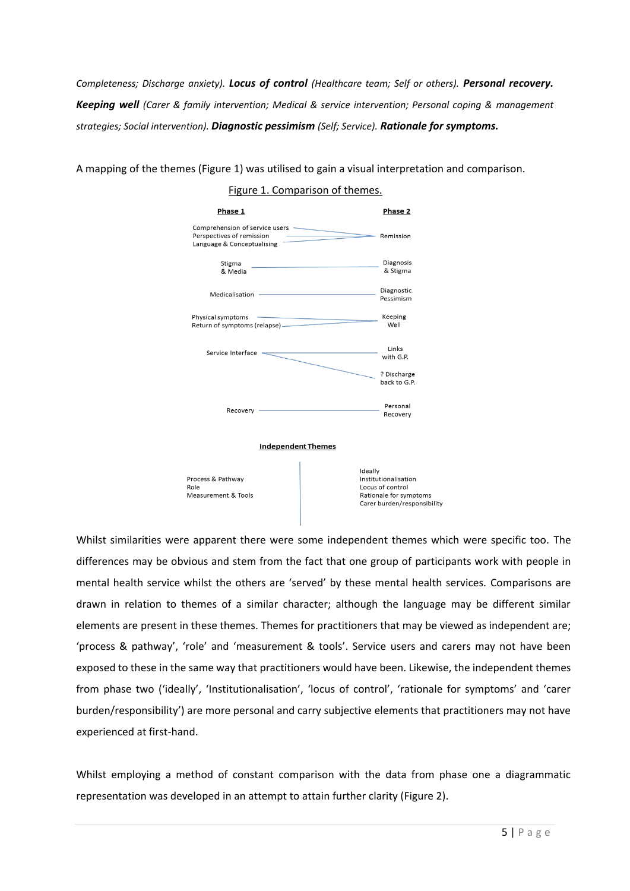*Completeness; Discharge anxiety). Locus of control (Healthcare team; Self or others). Personal recovery. Keeping well (Carer & family intervention; Medical & service intervention; Personal coping & management strategies; Social intervention). Diagnostic pessimism (Self; Service). Rationale for symptoms.*

A mapping of the themes (Figure 1) was utilised to gain a visual interpretation and comparison.

### Figure 1. Comparison of themes.



Process & Pathway Role Measurement & Tools Ideally Institutionalisation Locus of control Rationale for symptoms Carer burden/responsibility

Whilst similarities were apparent there were some independent themes which were specific too. The differences may be obvious and stem from the fact that one group of participants work with people in mental health service whilst the others are 'served' by these mental health services. Comparisons are drawn in relation to themes of a similar character; although the language may be different similar elements are present in these themes. Themes for practitioners that may be viewed as independent are; 'process & pathway', 'role' and 'measurement & tools'. Service users and carers may not have been exposed to these in the same way that practitioners would have been. Likewise, the independent themes from phase two ('ideally', 'Institutionalisation', 'locus of control', 'rationale for symptoms' and 'carer burden/responsibility') are more personal and carry subjective elements that practitioners may not have experienced at first-hand.

Whilst employing a method of constant comparison with the data from phase one a diagrammatic representation was developed in an attempt to attain further clarity (Figure 2).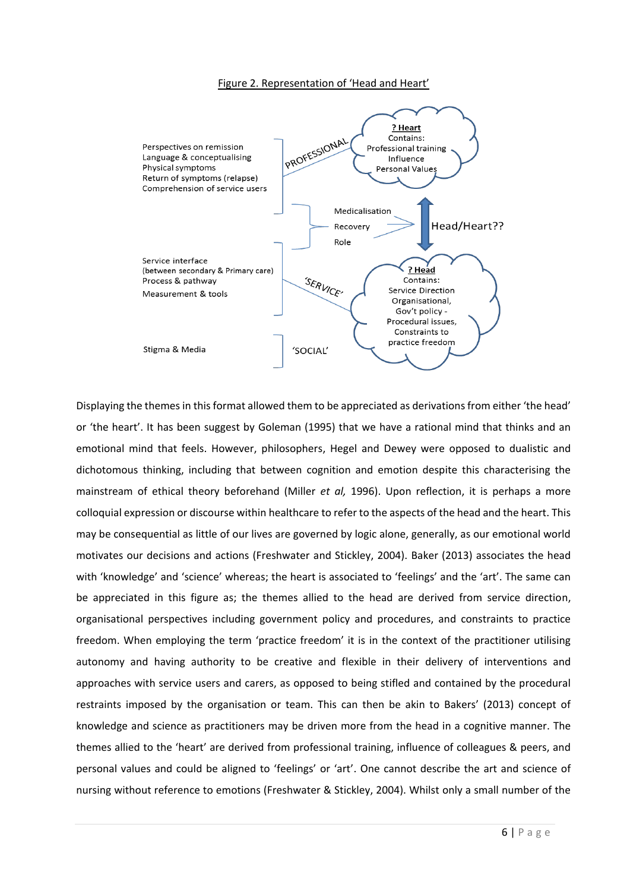#### Figure 2. Representation of 'Head and Heart'



Displaying the themes in this format allowed them to be appreciated as derivations from either 'the head' or 'the heart'. It has been suggest by Goleman (1995) that we have a rational mind that thinks and an emotional mind that feels. However, philosophers, Hegel and Dewey were opposed to dualistic and dichotomous thinking, including that between cognition and emotion despite this characterising the mainstream of ethical theory beforehand (Miller *et al,* 1996). Upon reflection, it is perhaps a more colloquial expression or discourse within healthcare to refer to the aspects of the head and the heart. This may be consequential as little of our lives are governed by logic alone, generally, as our emotional world motivates our decisions and actions (Freshwater and Stickley, 2004). Baker (2013) associates the head with 'knowledge' and 'science' whereas; the heart is associated to 'feelings' and the 'art'. The same can be appreciated in this figure as; the themes allied to the head are derived from service direction, organisational perspectives including government policy and procedures, and constraints to practice freedom. When employing the term 'practice freedom' it is in the context of the practitioner utilising autonomy and having authority to be creative and flexible in their delivery of interventions and approaches with service users and carers, as opposed to being stifled and contained by the procedural restraints imposed by the organisation or team. This can then be akin to Bakers' (2013) concept of knowledge and science as practitioners may be driven more from the head in a cognitive manner. The themes allied to the 'heart' are derived from professional training, influence of colleagues & peers, and personal values and could be aligned to 'feelings' or 'art'. One cannot describe the art and science of nursing without reference to emotions (Freshwater & Stickley, 2004). Whilst only a small number of the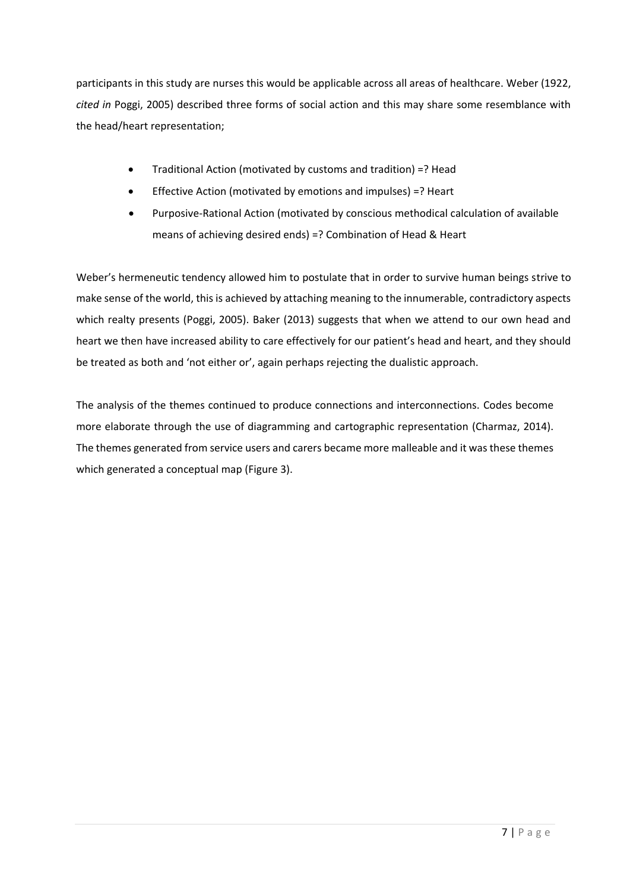participants in this study are nurses this would be applicable across all areas of healthcare. Weber (1922, *cited in* Poggi, 2005) described three forms of social action and this may share some resemblance with the head/heart representation;

- Traditional Action (motivated by customs and tradition) =? Head
- Effective Action (motivated by emotions and impulses) =? Heart
- Purposive-Rational Action (motivated by conscious methodical calculation of available means of achieving desired ends) =? Combination of Head & Heart

Weber's hermeneutic tendency allowed him to postulate that in order to survive human beings strive to make sense of the world, this is achieved by attaching meaning to the innumerable, contradictory aspects which realty presents (Poggi, 2005). Baker (2013) suggests that when we attend to our own head and heart we then have increased ability to care effectively for our patient's head and heart, and they should be treated as both and 'not either or', again perhaps rejecting the dualistic approach.

The analysis of the themes continued to produce connections and interconnections. Codes become more elaborate through the use of diagramming and cartographic representation (Charmaz, 2014). The themes generated from service users and carers became more malleable and it was these themes which generated a conceptual map (Figure 3).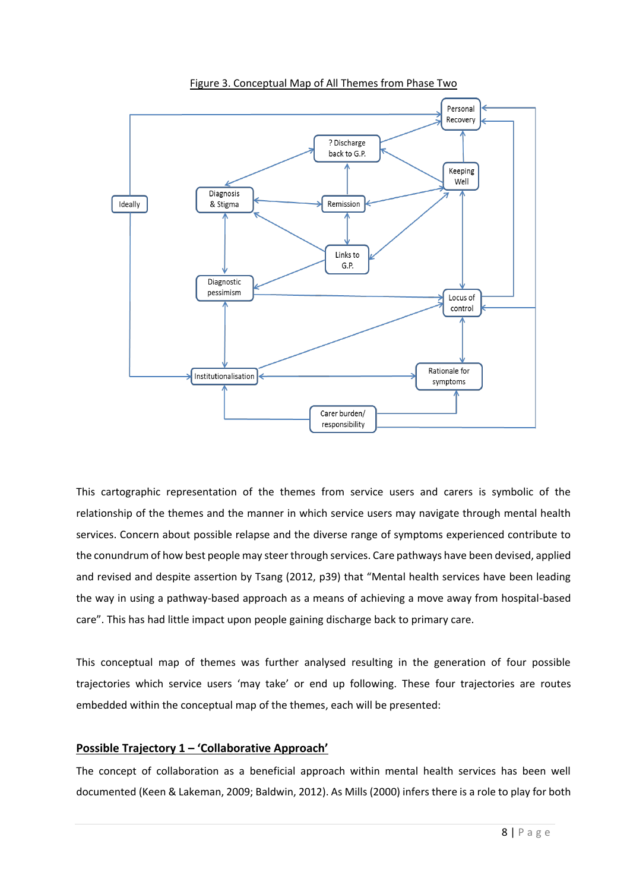

Figure 3. Conceptual Map of All Themes from Phase Two

This cartographic representation of the themes from service users and carers is symbolic of the relationship of the themes and the manner in which service users may navigate through mental health services. Concern about possible relapse and the diverse range of symptoms experienced contribute to the conundrum of how best people may steer through services. Care pathways have been devised, applied and revised and despite assertion by Tsang (2012, p39) that "Mental health services have been leading the way in using a pathway-based approach as a means of achieving a move away from hospital-based care". This has had little impact upon people gaining discharge back to primary care.

This conceptual map of themes was further analysed resulting in the generation of four possible trajectories which service users 'may take' or end up following. These four trajectories are routes embedded within the conceptual map of the themes, each will be presented:

## **Possible Trajectory 1 – 'Collaborative Approach'**

The concept of collaboration as a beneficial approach within mental health services has been well documented (Keen & Lakeman, 2009; Baldwin, 2012). As Mills (2000) infers there is a role to play for both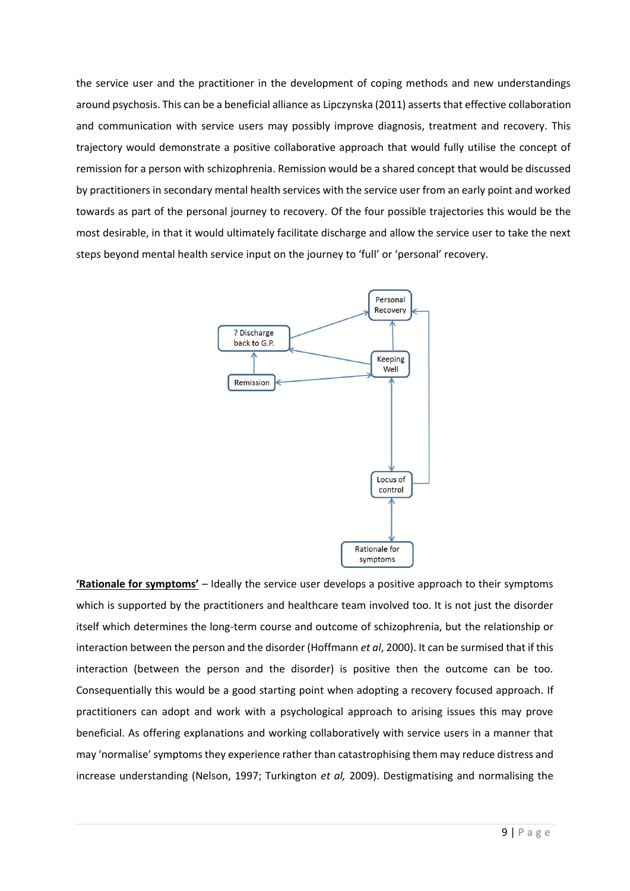the service user and the practitioner in the development of coping methods and new understandings around psychosis. This can be a beneficial alliance as Lipczynska (2011) asserts that effective collaboration and communication with service users may possibly improve diagnosis, treatment and recovery. This trajectory would demonstrate a positive collaborative approach that would fully utilise the concept of remission for a person with schizophrenia. Remission would be a shared concept that would be discussed by practitioners in secondary mental health services with the service user from an early point and worked towards as part of the personal journey to recovery. Of the four possible trajectories this would be the most desirable, in that it would ultimately facilitate discharge and allow the service user to take the next steps beyond mental health service input on the journey to 'full' or 'personal' recovery.



**'Rationale for symptoms'** – Ideally the service user develops a positive approach to their symptoms which is supported by the practitioners and healthcare team involved too. It is not just the disorder itself which determines the long-term course and outcome of schizophrenia, but the relationship or interaction between the person and the disorder (Hoffmann *et al*, 2000). It can be surmised that if this interaction (between the person and the disorder) is positive then the outcome can be too. Consequentially this would be a good starting point when adopting a recovery focused approach. If practitioners can adopt and work with a psychological approach to arising issues this may prove beneficial. As offering explanations and working collaboratively with service users in a manner that may 'normalise' symptoms they experience rather than catastrophising them may reduce distress and increase understanding (Nelson, 1997; Turkington *et al,* 2009). Destigmatising and normalising the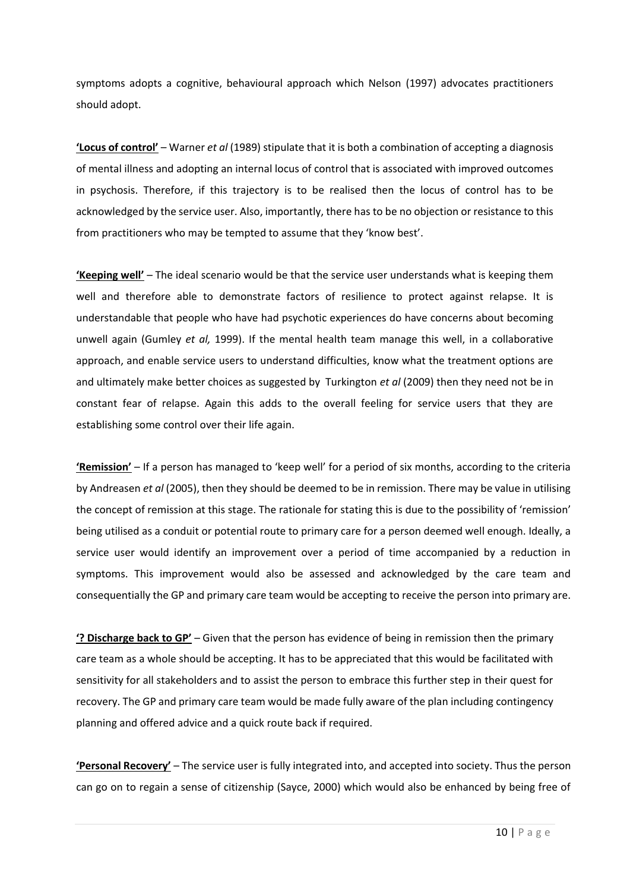symptoms adopts a cognitive, behavioural approach which Nelson (1997) advocates practitioners should adopt.

**'Locus of control'** – Warner *et al* (1989) stipulate that it is both a combination of accepting a diagnosis of mental illness and adopting an internal locus of control that is associated with improved outcomes in psychosis. Therefore, if this trajectory is to be realised then the locus of control has to be acknowledged by the service user. Also, importantly, there has to be no objection or resistance to this from practitioners who may be tempted to assume that they 'know best'.

**'Keeping well'** – The ideal scenario would be that the service user understands what is keeping them well and therefore able to demonstrate factors of resilience to protect against relapse. It is understandable that people who have had psychotic experiences do have concerns about becoming unwell again (Gumley *et al,* 1999). If the mental health team manage this well, in a collaborative approach, and enable service users to understand difficulties, know what the treatment options are and ultimately make better choices as suggested by Turkington *et al* (2009) then they need not be in constant fear of relapse. Again this adds to the overall feeling for service users that they are establishing some control over their life again.

**'Remission'** – If a person has managed to 'keep well' for a period of six months, according to the criteria by Andreasen *et al* (2005), then they should be deemed to be in remission. There may be value in utilising the concept of remission at this stage. The rationale for stating this is due to the possibility of 'remission' being utilised as a conduit or potential route to primary care for a person deemed well enough. Ideally, a service user would identify an improvement over a period of time accompanied by a reduction in symptoms. This improvement would also be assessed and acknowledged by the care team and consequentially the GP and primary care team would be accepting to receive the person into primary are.

**'? Discharge back to GP'** – Given that the person has evidence of being in remission then the primary care team as a whole should be accepting. It has to be appreciated that this would be facilitated with sensitivity for all stakeholders and to assist the person to embrace this further step in their quest for recovery. The GP and primary care team would be made fully aware of the plan including contingency planning and offered advice and a quick route back if required.

**'Personal Recovery'** – The service user is fully integrated into, and accepted into society. Thus the person can go on to regain a sense of citizenship (Sayce, 2000) which would also be enhanced by being free of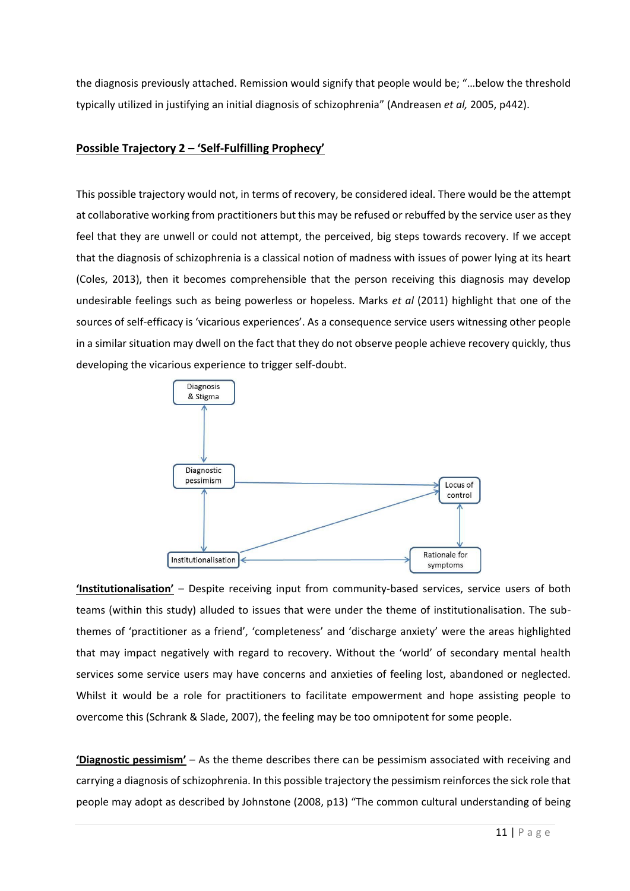the diagnosis previously attached. Remission would signify that people would be; "…below the threshold typically utilized in justifying an initial diagnosis of schizophrenia" (Andreasen *et al,* 2005, p442).

## **Possible Trajectory 2 – 'Self-Fulfilling Prophecy'**

This possible trajectory would not, in terms of recovery, be considered ideal. There would be the attempt at collaborative working from practitioners but this may be refused or rebuffed by the service user as they feel that they are unwell or could not attempt, the perceived, big steps towards recovery. If we accept that the diagnosis of schizophrenia is a classical notion of madness with issues of power lying at its heart (Coles, 2013), then it becomes comprehensible that the person receiving this diagnosis may develop undesirable feelings such as being powerless or hopeless. Marks *et al* (2011) highlight that one of the sources of self-efficacy is 'vicarious experiences'. As a consequence service users witnessing other people in a similar situation may dwell on the fact that they do not observe people achieve recovery quickly, thus developing the vicarious experience to trigger self-doubt.



**'Institutionalisation'** – Despite receiving input from community-based services, service users of both teams (within this study) alluded to issues that were under the theme of institutionalisation. The subthemes of 'practitioner as a friend', 'completeness' and 'discharge anxiety' were the areas highlighted that may impact negatively with regard to recovery. Without the 'world' of secondary mental health services some service users may have concerns and anxieties of feeling lost, abandoned or neglected. Whilst it would be a role for practitioners to facilitate empowerment and hope assisting people to overcome this (Schrank & Slade, 2007), the feeling may be too omnipotent for some people.

**'Diagnostic pessimism'** – As the theme describes there can be pessimism associated with receiving and carrying a diagnosis of schizophrenia. In this possible trajectory the pessimism reinforces the sick role that people may adopt as described by Johnstone (2008, p13) "The common cultural understanding of being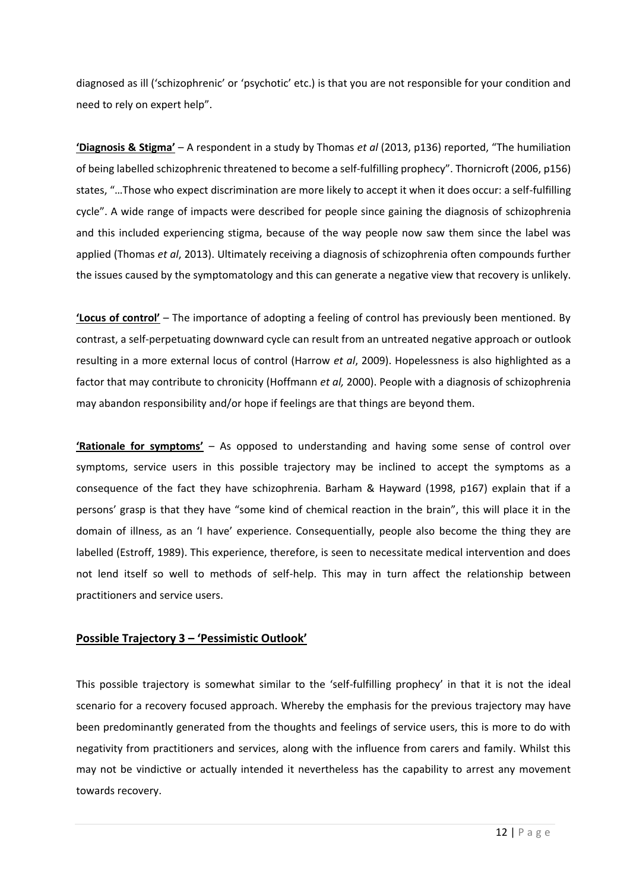diagnosed as ill ('schizophrenic' or 'psychotic' etc.) is that you are not responsible for your condition and need to rely on expert help".

**'Diagnosis & Stigma'** – A respondent in a study by Thomas *et al* (2013, p136) reported, "The humiliation of being labelled schizophrenic threatened to become a self-fulfilling prophecy". Thornicroft (2006, p156) states, "…Those who expect discrimination are more likely to accept it when it does occur: a self-fulfilling cycle". A wide range of impacts were described for people since gaining the diagnosis of schizophrenia and this included experiencing stigma, because of the way people now saw them since the label was applied (Thomas *et al*, 2013). Ultimately receiving a diagnosis of schizophrenia often compounds further the issues caused by the symptomatology and this can generate a negative view that recovery is unlikely.

**'Locus of control'** – The importance of adopting a feeling of control has previously been mentioned. By contrast, a self-perpetuating downward cycle can result from an untreated negative approach or outlook resulting in a more external locus of control (Harrow *et al*, 2009). Hopelessness is also highlighted as a factor that may contribute to chronicity (Hoffmann *et al,* 2000). People with a diagnosis of schizophrenia may abandon responsibility and/or hope if feelings are that things are beyond them.

**'Rationale for symptoms'** – As opposed to understanding and having some sense of control over symptoms, service users in this possible trajectory may be inclined to accept the symptoms as a consequence of the fact they have schizophrenia. Barham & Hayward (1998, p167) explain that if a persons' grasp is that they have "some kind of chemical reaction in the brain", this will place it in the domain of illness, as an 'I have' experience. Consequentially, people also become the thing they are labelled (Estroff, 1989). This experience, therefore, is seen to necessitate medical intervention and does not lend itself so well to methods of self-help. This may in turn affect the relationship between practitioners and service users.

## **Possible Trajectory 3 – 'Pessimistic Outlook'**

This possible trajectory is somewhat similar to the 'self-fulfilling prophecy' in that it is not the ideal scenario for a recovery focused approach. Whereby the emphasis for the previous trajectory may have been predominantly generated from the thoughts and feelings of service users, this is more to do with negativity from practitioners and services, along with the influence from carers and family. Whilst this may not be vindictive or actually intended it nevertheless has the capability to arrest any movement towards recovery.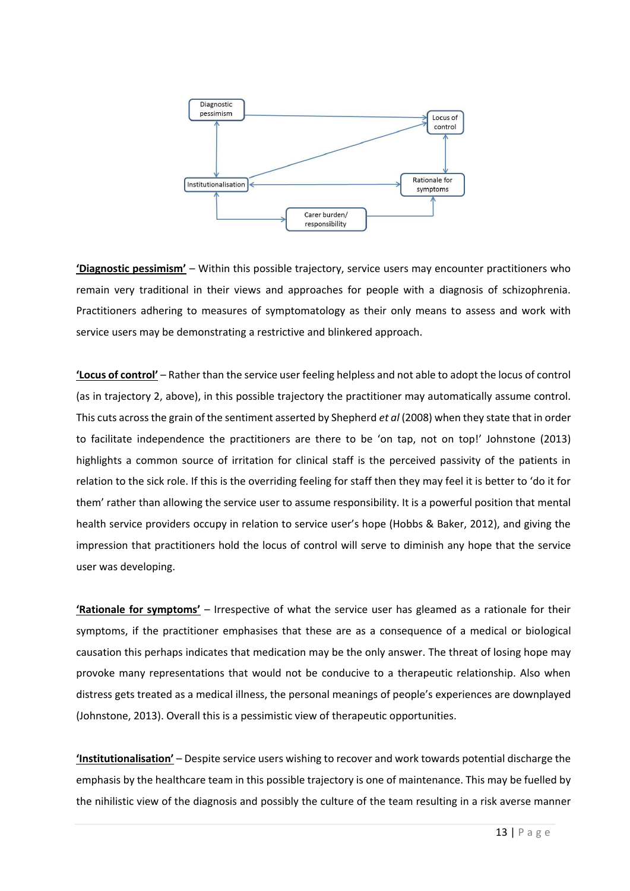

**'Diagnostic pessimism'** – Within this possible trajectory, service users may encounter practitioners who remain very traditional in their views and approaches for people with a diagnosis of schizophrenia. Practitioners adhering to measures of symptomatology as their only means to assess and work with service users may be demonstrating a restrictive and blinkered approach.

**'Locus of control'** – Rather than the service user feeling helpless and not able to adopt the locus of control (as in trajectory 2, above), in this possible trajectory the practitioner may automatically assume control. This cuts across the grain of the sentiment asserted by Shepherd *et al* (2008) when they state that in order to facilitate independence the practitioners are there to be 'on tap, not on top!' Johnstone (2013) highlights a common source of irritation for clinical staff is the perceived passivity of the patients in relation to the sick role. If this is the overriding feeling for staff then they may feel it is better to 'do it for them' rather than allowing the service user to assume responsibility. It is a powerful position that mental health service providers occupy in relation to service user's hope (Hobbs & Baker, 2012), and giving the impression that practitioners hold the locus of control will serve to diminish any hope that the service user was developing.

**'Rationale for symptoms'** – Irrespective of what the service user has gleamed as a rationale for their symptoms, if the practitioner emphasises that these are as a consequence of a medical or biological causation this perhaps indicates that medication may be the only answer. The threat of losing hope may provoke many representations that would not be conducive to a therapeutic relationship. Also when distress gets treated as a medical illness, the personal meanings of people's experiences are downplayed (Johnstone, 2013). Overall this is a pessimistic view of therapeutic opportunities.

**'Institutionalisation'** – Despite service users wishing to recover and work towards potential discharge the emphasis by the healthcare team in this possible trajectory is one of maintenance. This may be fuelled by the nihilistic view of the diagnosis and possibly the culture of the team resulting in a risk averse manner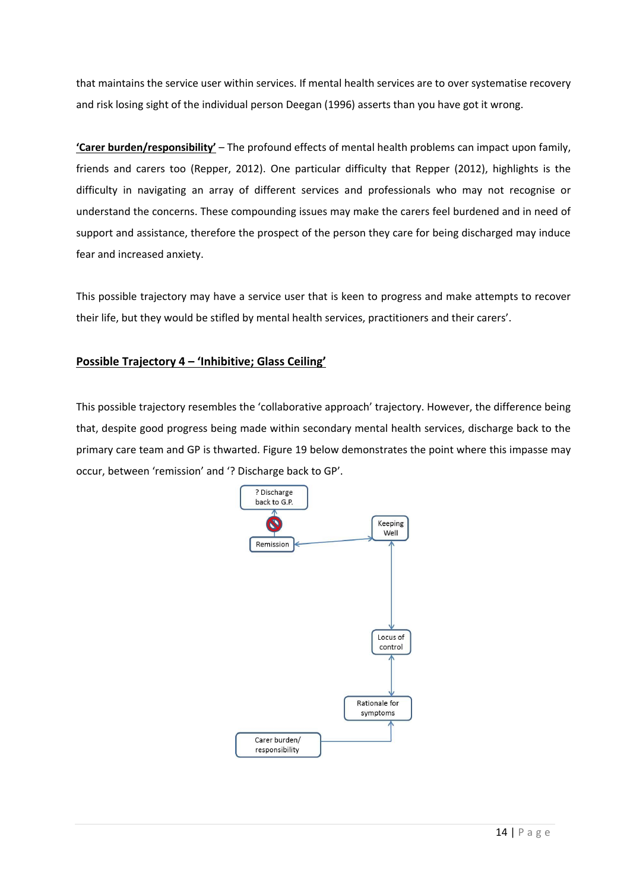that maintains the service user within services. If mental health services are to over systematise recovery and risk losing sight of the individual person Deegan (1996) asserts than you have got it wrong.

**'Carer burden/responsibility'** – The profound effects of mental health problems can impact upon family, friends and carers too (Repper, 2012). One particular difficulty that Repper (2012), highlights is the difficulty in navigating an array of different services and professionals who may not recognise or understand the concerns. These compounding issues may make the carers feel burdened and in need of support and assistance, therefore the prospect of the person they care for being discharged may induce fear and increased anxiety.

This possible trajectory may have a service user that is keen to progress and make attempts to recover their life, but they would be stifled by mental health services, practitioners and their carers'.

## **Possible Trajectory 4 – 'Inhibitive; Glass Ceiling'**

This possible trajectory resembles the 'collaborative approach' trajectory. However, the difference being that, despite good progress being made within secondary mental health services, discharge back to the primary care team and GP is thwarted. Figure 19 below demonstrates the point where this impasse may occur, between 'remission' and '? Discharge back to GP'.

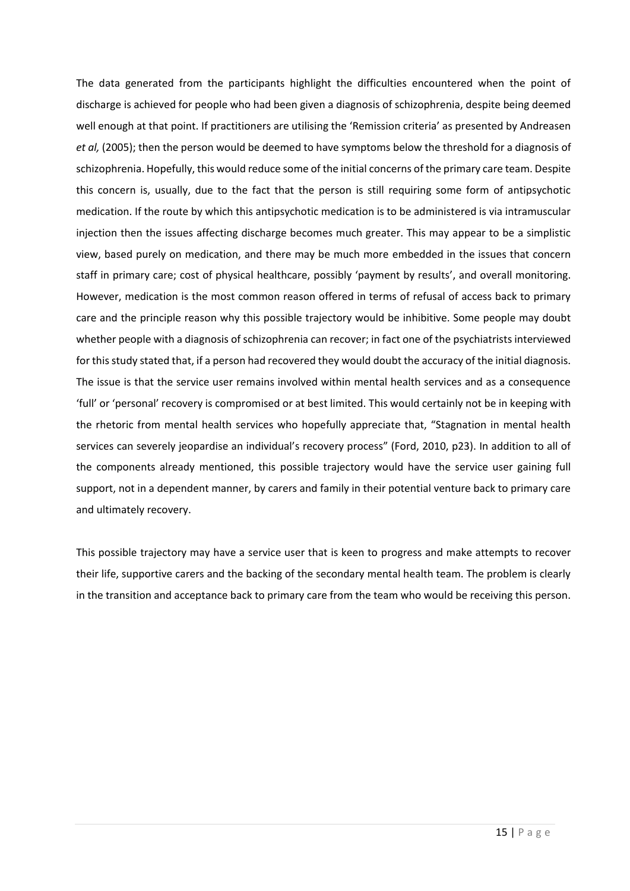The data generated from the participants highlight the difficulties encountered when the point of discharge is achieved for people who had been given a diagnosis of schizophrenia, despite being deemed well enough at that point. If practitioners are utilising the 'Remission criteria' as presented by Andreasen *et al,* (2005); then the person would be deemed to have symptoms below the threshold for a diagnosis of schizophrenia. Hopefully, this would reduce some of the initial concerns of the primary care team. Despite this concern is, usually, due to the fact that the person is still requiring some form of antipsychotic medication. If the route by which this antipsychotic medication is to be administered is via intramuscular injection then the issues affecting discharge becomes much greater. This may appear to be a simplistic view, based purely on medication, and there may be much more embedded in the issues that concern staff in primary care; cost of physical healthcare, possibly 'payment by results', and overall monitoring. However, medication is the most common reason offered in terms of refusal of access back to primary care and the principle reason why this possible trajectory would be inhibitive. Some people may doubt whether people with a diagnosis of schizophrenia can recover; in fact one of the psychiatrists interviewed for this study stated that, if a person had recovered they would doubt the accuracy of the initial diagnosis. The issue is that the service user remains involved within mental health services and as a consequence 'full' or 'personal' recovery is compromised or at best limited. This would certainly not be in keeping with the rhetoric from mental health services who hopefully appreciate that, "Stagnation in mental health services can severely jeopardise an individual's recovery process" (Ford, 2010, p23). In addition to all of the components already mentioned, this possible trajectory would have the service user gaining full support, not in a dependent manner, by carers and family in their potential venture back to primary care and ultimately recovery.

This possible trajectory may have a service user that is keen to progress and make attempts to recover their life, supportive carers and the backing of the secondary mental health team. The problem is clearly in the transition and acceptance back to primary care from the team who would be receiving this person.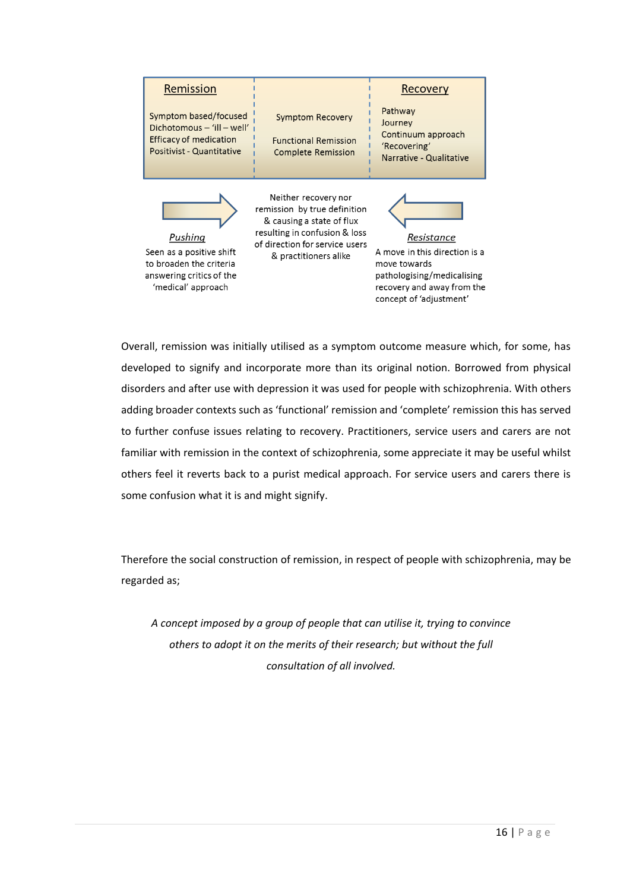| Remission                                                                                                        |                                                                                                                                                                               | Recovery                                                                                                                                           |
|------------------------------------------------------------------------------------------------------------------|-------------------------------------------------------------------------------------------------------------------------------------------------------------------------------|----------------------------------------------------------------------------------------------------------------------------------------------------|
| Symptom based/focused<br>Dichotomous - 'ill - well'<br>Efficacy of medication<br>Positivist - Quantitative       | <b>Symptom Recovery</b><br><b>Functional Remission</b><br><b>Complete Remission</b>                                                                                           | Pathway<br>Journey<br>Continuum approach<br>'Recovering'<br>Narrative - Qualitative                                                                |
| Pushing<br>Seen as a positive shift<br>to broaden the criteria<br>answering critics of the<br>'medical' approach | Neither recovery nor<br>remission by true definition<br>& causing a state of flux<br>resulting in confusion & loss<br>of direction for service users<br>& practitioners alike | Resistance<br>A move in this direction is a<br>move towards<br>pathologising/medicalising<br>recovery and away from the<br>concept of 'adjustment' |

Overall, remission was initially utilised as a symptom outcome measure which, for some, has developed to signify and incorporate more than its original notion. Borrowed from physical disorders and after use with depression it was used for people with schizophrenia. With others adding broader contexts such as 'functional' remission and 'complete' remission this has served to further confuse issues relating to recovery. Practitioners, service users and carers are not familiar with remission in the context of schizophrenia, some appreciate it may be useful whilst others feel it reverts back to a purist medical approach. For service users and carers there is some confusion what it is and might signify.

Therefore the social construction of remission, in respect of people with schizophrenia, may be regarded as;

*A concept imposed by a group of people that can utilise it, trying to convince others to adopt it on the merits of their research; but without the full consultation of all involved.*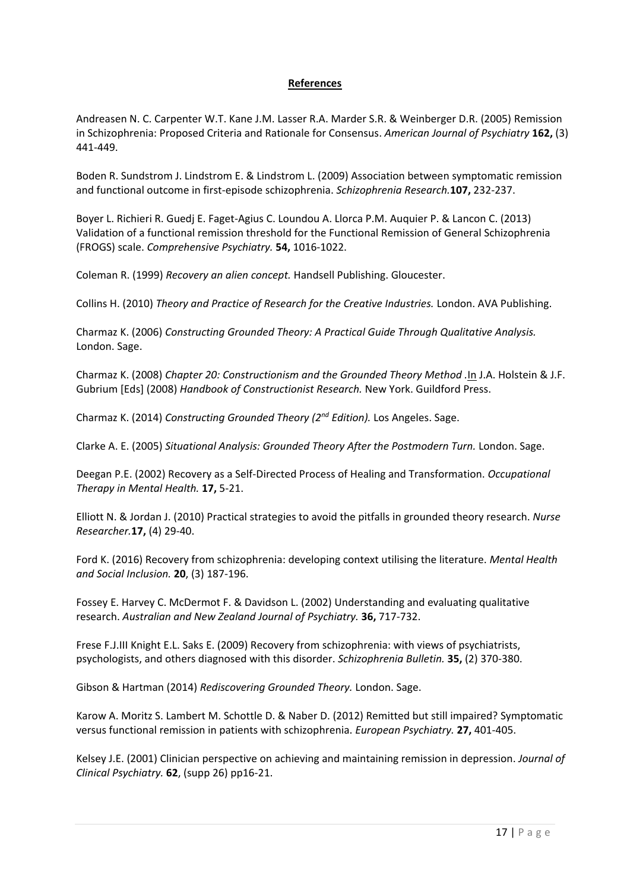## **References**

Andreasen N. C. Carpenter W.T. Kane J.M. Lasser R.A. Marder S.R. & Weinberger D.R. (2005) Remission in Schizophrenia: Proposed Criteria and Rationale for Consensus. *American Journal of Psychiatry* **162,** (3) 441-449.

Boden R. Sundstrom J. Lindstrom E. & Lindstrom L. (2009) Association between symptomatic remission and functional outcome in first-episode schizophrenia. *Schizophrenia Research.***107,** 232-237.

Boyer L. Richieri R. Guedj E. Faget-Agius C. Loundou A. Llorca P.M. Auquier P. & Lancon C. (2013) Validation of a functional remission threshold for the Functional Remission of General Schizophrenia (FROGS) scale. *Comprehensive Psychiatry.* **54,** 1016-1022.

Coleman R. (1999) *Recovery an alien concept.* Handsell Publishing. Gloucester.

Collins H. (2010) *Theory and Practice of Research for the Creative Industries.* London. AVA Publishing.

Charmaz K. (2006) *Constructing Grounded Theory: A Practical Guide Through Qualitative Analysis.* London. Sage.

Charmaz K. (2008) *Chapter 20: Constructionism and the Grounded Theory Method .*In J.A. Holstein & J.F. Gubrium [Eds] (2008) *Handbook of Constructionist Research.* New York. Guildford Press.

Charmaz K. (2014) *Constructing Grounded Theory (2nd Edition).* Los Angeles. Sage.

Clarke A. E. (2005) *Situational Analysis: Grounded Theory After the Postmodern Turn.* London. Sage.

Deegan P.E. (2002) Recovery as a Self-Directed Process of Healing and Transformation. *Occupational Therapy in Mental Health.* **17,** 5-21.

Elliott N. & Jordan J. (2010) Practical strategies to avoid the pitfalls in grounded theory research. *Nurse Researcher.***17,** (4) 29-40.

Ford K. (2016) Recovery from schizophrenia: developing context utilising the literature. *Mental Health and Social Inclusion.* **20**, (3) 187-196.

Fossey E. Harvey C. McDermot F. & Davidson L. (2002) Understanding and evaluating qualitative research. *Australian and New Zealand Journal of Psychiatry.* **36,** 717-732.

Frese F.J.III Knight E.L. Saks E. (2009) Recovery from schizophrenia: with views of psychiatrists, psychologists, and others diagnosed with this disorder. *Schizophrenia Bulletin.* **35,** (2) 370-380.

Gibson & Hartman (2014) *Rediscovering Grounded Theory.* London. Sage.

Karow A. Moritz S. Lambert M. Schottle D. & Naber D. (2012) Remitted but still impaired? Symptomatic versus functional remission in patients with schizophrenia. *European Psychiatry.* **27,** 401-405.

Kelsey J.E. (2001) Clinician perspective on achieving and maintaining remission in depression. *Journal of Clinical Psychiatry.* **62**, (supp 26) pp16-21.